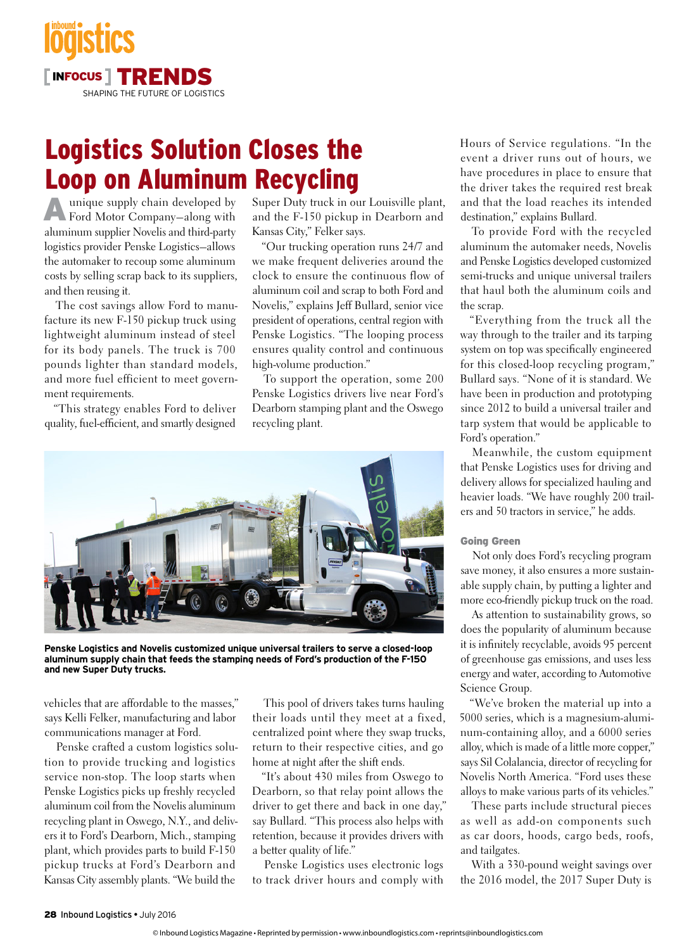

## Logistics Solution Closes the Loop on Aluminum Recycling

Aunique supply chain developed by Ford Motor Company–along with aluminum supplier Novelis and third-party logistics provider Penske Logistics–allows the automaker to recoup some aluminum costs by selling scrap back to its suppliers, and then reusing it.

The cost savings allow Ford to manufacture its new F-150 pickup truck using lightweight aluminum instead of steel for its body panels. The truck is 700 pounds lighter than standard models, and more fuel efficient to meet government requirements.

"This strategy enables Ford to deliver quality, fuel-efficient, and smartly designed Super Duty truck in our Louisville plant, and the F-150 pickup in Dearborn and Kansas City," Felker says.

"Our trucking operation runs 24/7 and we make frequent deliveries around the clock to ensure the continuous flow of aluminum coil and scrap to both Ford and Novelis," explains Jeff Bullard, senior vice president of operations, central region with Penske Logistics. "The looping process ensures quality control and continuous high-volume production."

To support the operation, some 200 Penske Logistics drivers live near Ford's Dearborn stamping plant and the Oswego recycling plant.



**Penske Logistics and Novelis customized unique universal trailers to serve a closed-loop aluminum supply chain that feeds the stamping needs of Ford's production of the F-150 and new Super Duty trucks.**

vehicles that are affordable to the masses," says Kelli Felker, manufacturing and labor communications manager at Ford.

Penske crafted a custom logistics solution to provide trucking and logistics service non-stop. The loop starts when Penske Logistics picks up freshly recycled aluminum coil from the Novelis aluminum recycling plant in Oswego, N.Y., and delivers it to Ford's Dearborn, Mich., stamping plant, which provides parts to build F-150 pickup trucks at Ford's Dearborn and Kansas City assembly plants. "We build the

This pool of drivers takes turns hauling their loads until they meet at a fixed, centralized point where they swap trucks, return to their respective cities, and go home at night after the shift ends.

"It's about 430 miles from Oswego to Dearborn, so that relay point allows the driver to get there and back in one day," say Bullard. "This process also helps with retention, because it provides drivers with a better quality of life."

Penske Logistics uses electronic logs to track driver hours and comply with Hours of Service regulations. "In the event a driver runs out of hours, we have procedures in place to ensure that the driver takes the required rest break and that the load reaches its intended destination," explains Bullard.

To provide Ford with the recycled aluminum the automaker needs, Novelis and Penske Logistics developed customized semi-trucks and unique universal trailers that haul both the aluminum coils and the scrap.

"Everything from the truck all the way through to the trailer and its tarping system on top was specifically engineered for this closed-loop recycling program," Bullard says. "None of it is standard. We have been in production and prototyping since 2012 to build a universal trailer and tarp system that would be applicable to Ford's operation."

Meanwhile, the custom equipment that Penske Logistics uses for driving and delivery allows for specialized hauling and heavier loads. "We have roughly 200 trailers and 50 tractors in service," he adds.

## Going Green

Not only does Ford's recycling program save money, it also ensures a more sustainable supply chain, by putting a lighter and more eco-friendly pickup truck on the road.

As attention to sustainability grows, so does the popularity of aluminum because it is infinitely recyclable, avoids 95 percent of greenhouse gas emissions, and uses less energy and water, according to Automotive Science Group.

"We've broken the material up into a 5000 series, which is a magnesium-aluminum-containing alloy, and a 6000 series alloy, which is made of a little more copper," says Sil Colalancia, director of recycling for Novelis North America. "Ford uses these alloys to make various parts of its vehicles."

These parts include structural pieces as well as add-on components such as car doors, hoods, cargo beds, roofs, and tailgates.

With a 330-pound weight savings over the 2016 model, the 2017 Super Duty is